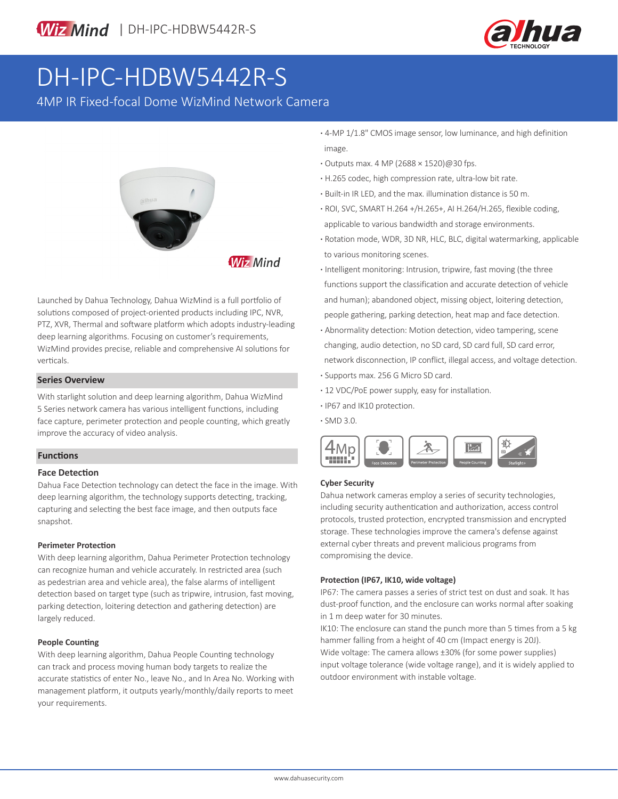

# DH-IPC-HDBW5442R-S

4MP IR Fixed-focal Dome WizMind Network Camera



**Wiz Mind** 

Launched by Dahua Technology, Dahua WizMind is a full portfolio of solutions composed of project-oriented products including IPC, NVR, PTZ, XVR, Thermal and software platform which adopts industry-leading deep learning algorithms. Focusing on customer's requirements, WizMind provides precise, reliable and comprehensive AI solutions for verticals.

### **Series Overview**

With starlight solution and deep learning algorithm, Dahua WizMind 5 Series network camera has various intelligent functions, including face capture, perimeter protection and people counting, which greatly improve the accuracy of video analysis.

### **Functions**

### **Face Detection**

Dahua Face Detection technology can detect the face in the image. With deep learning algorithm, the technology supports detecting, tracking, capturing and selecting the best face image, and then outputs face snapshot.

### **Perimeter Protection**

With deep learning algorithm, Dahua Perimeter Protection technology can recognize human and vehicle accurately. In restricted area (such as pedestrian area and vehicle area), the false alarms of intelligent detection based on target type (such as tripwire, intrusion, fast moving, parking detection, loitering detection and gathering detection) are largely reduced.

### **People Counting**

With deep learning algorithm, Dahua People Counting technology can track and process moving human body targets to realize the accurate statistics of enter No., leave No., and In Area No. Working with management platform, it outputs yearly/monthly/daily reports to meet your requirements.

- **·** 4-MP 1/1.8" CMOS image sensor, low luminance, and high definition image.
- **·** Outputs max. 4 MP (2688 × 1520)@30 fps.
- **·** H.265 codec, high compression rate, ultra-low bit rate.
- **·** Built-in IR LED, and the max. illumination distance is 50 m.
- **·** ROI, SVC, SMART H.264 +/H.265+, AI H.264/H.265, flexible coding, applicable to various bandwidth and storage environments.
- **·** Rotation mode, WDR, 3D NR, HLC, BLC, digital watermarking, applicable to various monitoring scenes.
- **·** Intelligent monitoring: Intrusion, tripwire, fast moving (the three functions support the classification and accurate detection of vehicle and human); abandoned object, missing object, loitering detection, people gathering, parking detection, heat map and face detection.
- **·** Abnormality detection: Motion detection, video tampering, scene changing, audio detection, no SD card, SD card full, SD card error, network disconnection, IP conflict, illegal access, and voltage detection. **·** Supports max. 256 G Micro SD card.
- **·** 12 VDC/PoE power supply, easy for installation.
- **·** IP67 and IK10 protection.
- **·** SMD 3.0.



### **Cyber Security**

Dahua network cameras employ a series of security technologies, including security authentication and authorization, access control protocols, trusted protection, encrypted transmission and encrypted storage. These technologies improve the camera's defense against external cyber threats and prevent malicious programs from compromising the device.

### **Protection (IP67, IK10, wide voltage)**

IP67: The camera passes a series of strict test on dust and soak. It has dust-proof function, and the enclosure can works normal after soaking in 1 m deep water for 30 minutes.

IK10: The enclosure can stand the punch more than 5 times from a 5 kg hammer falling from a height of 40 cm (Impact energy is 20J).

Wide voltage: The camera allows ±30% (for some power supplies) input voltage tolerance (wide voltage range), and it is widely applied to outdoor environment with instable voltage.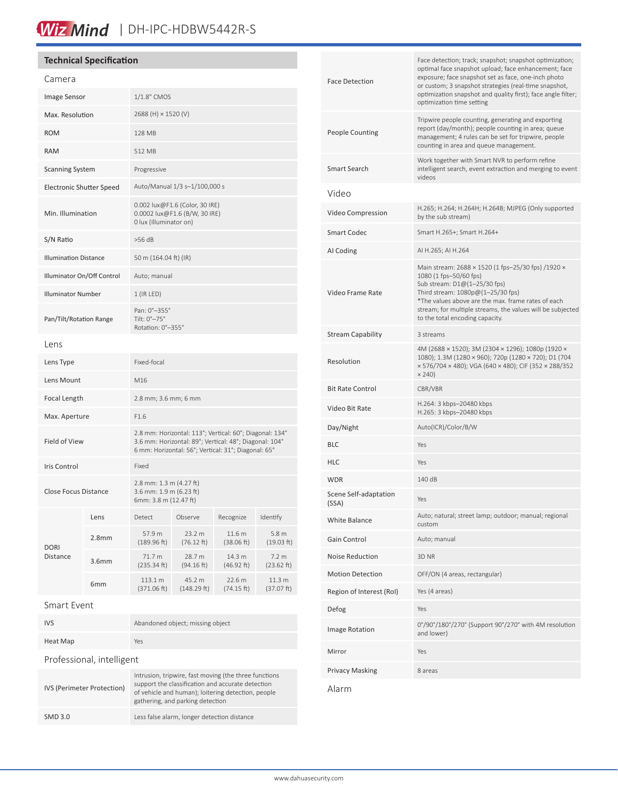### Wiz Mind | DH-IPC-HDBW5442R-S

### **Technical Specification**

| Camera                           |  |                                                                                                                                                                          |                       |                      |                      |  |
|----------------------------------|--|--------------------------------------------------------------------------------------------------------------------------------------------------------------------------|-----------------------|----------------------|----------------------|--|
| Image Sensor                     |  | 1/1.8" CMOS                                                                                                                                                              |                       |                      |                      |  |
| Max. Resolution                  |  | 2688 (H) × 1520 (V)                                                                                                                                                      |                       |                      |                      |  |
| <b>ROM</b>                       |  | 128 MB                                                                                                                                                                   |                       |                      |                      |  |
| <b>RAM</b>                       |  | 512 MB                                                                                                                                                                   |                       |                      |                      |  |
| <b>Scanning System</b>           |  | Progressive                                                                                                                                                              |                       |                      |                      |  |
| Electronic Shutter Speed         |  | Auto/Manual 1/3 s-1/100,000 s                                                                                                                                            |                       |                      |                      |  |
| Min. Illumination                |  | 0.002 lux@F1.6 (Color, 30 IRE)<br>0.0002 lux@F1.6 (B/W, 30 IRE)<br>0 lux (Illuminator on)                                                                                |                       |                      |                      |  |
| S/N Ratio                        |  | $>56$ dB                                                                                                                                                                 |                       |                      |                      |  |
| <b>Illumination Distance</b>     |  | 50 m (164.04 ft) (IR)                                                                                                                                                    |                       |                      |                      |  |
| Illuminator On/Off Control       |  | Auto; manual                                                                                                                                                             |                       |                      |                      |  |
| <b>Illuminator Number</b>        |  | $1$ (IR LED)                                                                                                                                                             |                       |                      |                      |  |
| Pan/Tilt/Rotation Range          |  | Pan: 0°-355°<br>Tilt: 0°-75°<br>Rotation: 0°-355°                                                                                                                        |                       |                      |                      |  |
| Lens                             |  |                                                                                                                                                                          |                       |                      |                      |  |
| Lens Type                        |  | Fixed-focal                                                                                                                                                              |                       |                      |                      |  |
| Lens Mount                       |  | M16                                                                                                                                                                      |                       |                      |                      |  |
| Focal Length                     |  | 2.8 mm; 3.6 mm; 6 mm                                                                                                                                                     |                       |                      |                      |  |
| Max. Aperture                    |  | F1.6                                                                                                                                                                     |                       |                      |                      |  |
| <b>Field of View</b>             |  | 2.8 mm: Horizontal: 113°; Vertical: 60°; Diagonal: 134°<br>3.6 mm: Horizontal: 89°; Vertical: 48°; Diagonal: 104°<br>6 mm: Horizontal: 56°; Vertical: 31°; Diagonal: 65° |                       |                      |                      |  |
| Iris Control                     |  | Fixed                                                                                                                                                                    |                       |                      |                      |  |
| Close Focus Distance             |  | 2.8 mm: 1.3 m (4.27 ft)<br>3.6 mm: 1.9 m (6.23 ft)<br>6mm: 3.8 m (12.47 ft)                                                                                              |                       |                      |                      |  |
| Lens                             |  | Detect                                                                                                                                                                   | Observe               | Recognize            | Identify             |  |
| 2.8 <sub>mm</sub><br><b>DORI</b> |  | 57.9 m<br>(189.96 ft)                                                                                                                                                    | 23.2 m<br>(76.12 ft)  | 11.6 m<br>(38.06 ft) | 5.8 m<br>(19.03 ft)  |  |
| Distance<br>3.6mm                |  | 71.7 m<br>(235.34 ft)                                                                                                                                                    | 28.7 m<br>(94.16 ft)  | 14.3 m<br>(46.92 ft) | 7.2 m<br>(23.62 ft)  |  |
| 6mm                              |  | 113.1 m<br>(371.06 ft)                                                                                                                                                   | 45.2 m<br>(148.29 ft) | 22.6 m<br>(74.15 ft) | 11.3 m<br>(37.07 ft) |  |
| Smart Event                      |  |                                                                                                                                                                          |                       |                      |                      |  |

### IVS Abandoned object; missing object Heat Map Yes Professional, intelligent IVS (Perimeter Protection) Intrusion, tripwire, fast moving (the three functions support the classification and accurate detection of vehicle and human); loitering detection, people gathering, and parking detection SMD 3.0 Less false alarm, longer detection distance

| <b>Face Detection</b>          | Face detection; track; snapshot; snapshot optimization;<br>optimal face snapshot upload; face enhancement; face<br>exposure; face snapshot set as face, one-inch photo<br>or custom; 3 snapshot strategies (real-time snapshot,<br>optimization snapshot and quality first); face angle filter;<br>optimization time setting |  |
|--------------------------------|------------------------------------------------------------------------------------------------------------------------------------------------------------------------------------------------------------------------------------------------------------------------------------------------------------------------------|--|
| People Counting                | Tripwire people counting, generating and exporting<br>report (day/month); people counting in area; queue<br>management; 4 rules can be set for tripwire, people<br>counting in area and queue management.                                                                                                                    |  |
| Smart Search                   | Work together with Smart NVR to perform refine<br>intelligent search, event extraction and merging to event<br>videos                                                                                                                                                                                                        |  |
| Video                          |                                                                                                                                                                                                                                                                                                                              |  |
| Video Compression              | H.265; H.264; H.264H; H.264B; MJPEG (Only supported<br>by the sub stream)                                                                                                                                                                                                                                                    |  |
| Smart Codec                    | Smart H.265+; Smart H.264+                                                                                                                                                                                                                                                                                                   |  |
| AI Coding                      | AI H.265; AI H.264                                                                                                                                                                                                                                                                                                           |  |
| Video Frame Rate               | Main stream: 2688 × 1520 (1 fps-25/30 fps) /1920 ×<br>1080 (1 fps-50/60 fps)<br>Sub stream: D1@(1-25/30 fps)<br>Third stream: 1080p@(1-25/30 fps)<br>*The values above are the max. frame rates of each<br>stream; for multiple streams, the values will be subjected<br>to the total encoding capacity.                     |  |
| Stream Capability              | 3 streams                                                                                                                                                                                                                                                                                                                    |  |
| Resolution                     | 4M (2688 × 1520); 3M (2304 × 1296); 1080p (1920 ×<br>1080); 1.3M (1280 × 960); 720p (1280 × 720); D1 (704<br>× 576/704 × 480); VGA (640 × 480); CIF (352 × 288/352<br>$\times$ 240)                                                                                                                                          |  |
| Bit Rate Control               | CBR/VBR                                                                                                                                                                                                                                                                                                                      |  |
| Video Bit Rate                 | H.264: 3 kbps-20480 kbps<br>H.265: 3 kbps-20480 kbps                                                                                                                                                                                                                                                                         |  |
| Day/Night                      | Auto(ICR)/Color/B/W                                                                                                                                                                                                                                                                                                          |  |
| BLC                            | Yes                                                                                                                                                                                                                                                                                                                          |  |
| HLC                            | Yes                                                                                                                                                                                                                                                                                                                          |  |
| WDR                            | 140 dB                                                                                                                                                                                                                                                                                                                       |  |
| Scene Self-adaptation<br>(SSA) | Yes                                                                                                                                                                                                                                                                                                                          |  |
| White Balance                  | Auto; natural; street lamp; outdoor; manual; regional<br>custom                                                                                                                                                                                                                                                              |  |
| Gain Control                   | Auto; manual                                                                                                                                                                                                                                                                                                                 |  |
| <b>Noise Reduction</b>         | 3D NR                                                                                                                                                                                                                                                                                                                        |  |
| <b>Motion Detection</b>        | OFF/ON (4 areas, rectangular)                                                                                                                                                                                                                                                                                                |  |
| Region of Interest (RoI)       | Yes (4 areas)                                                                                                                                                                                                                                                                                                                |  |
| Defog                          | Yes                                                                                                                                                                                                                                                                                                                          |  |
| Image Rotation                 | 0°/90°/180°/270° (Support 90°/270° with 4M resolution<br>and lower)                                                                                                                                                                                                                                                          |  |
| Mirror                         | Yes                                                                                                                                                                                                                                                                                                                          |  |
| Privacy Masking                | 8 areas                                                                                                                                                                                                                                                                                                                      |  |
|                                |                                                                                                                                                                                                                                                                                                                              |  |

Alarm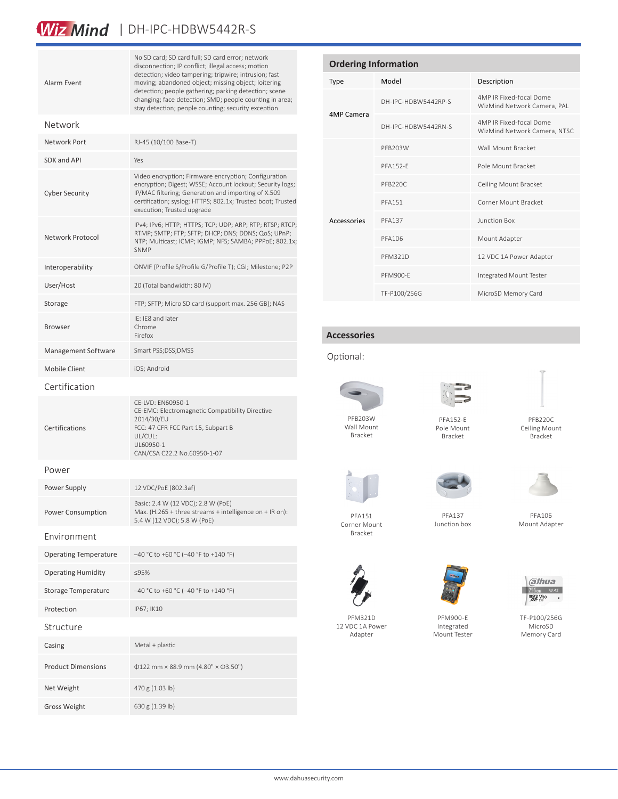### Wiz Mind | DH-IPC-HDBW5442R-S

| Alarm Event                  | No SD card; SD card full; SD card error; network<br>disconnection; IP conflict; illegal access; motion<br>detection; video tampering; tripwire; intrusion; fast<br>moving; abandoned object; missing object; loitering<br>detection; people gathering; parking detection; scene<br>changing; face detection; SMD; people counting in area;<br>stay detection; people counting; security exception |  |
|------------------------------|---------------------------------------------------------------------------------------------------------------------------------------------------------------------------------------------------------------------------------------------------------------------------------------------------------------------------------------------------------------------------------------------------|--|
| Network                      |                                                                                                                                                                                                                                                                                                                                                                                                   |  |
| Network Port                 | RJ-45 (10/100 Base-T)                                                                                                                                                                                                                                                                                                                                                                             |  |
| SDK and API                  | Yes                                                                                                                                                                                                                                                                                                                                                                                               |  |
| <b>Cyber Security</b>        | Video encryption; Firmware encryption; Configuration<br>encryption; Digest; WSSE; Account lockout; Security logs;<br>IP/MAC filtering; Generation and importing of X.509<br>certification; syslog; HTTPS; 802.1x; Trusted boot; Trusted<br>execution; Trusted upgrade                                                                                                                             |  |
| Network Protocol             | IPv4; IPv6; HTTP; HTTPS; TCP; UDP; ARP; RTP; RTSP; RTCP;<br>RTMP; SMTP; FTP; SFTP; DHCP; DNS; DDNS; QoS; UPnP;<br>NTP; Multicast; ICMP; IGMP; NFS; SAMBA; PPPoE; 802.1x;<br><b>SNMP</b>                                                                                                                                                                                                           |  |
| Interoperability             | ONVIF (Profile S/Profile G/Profile T); CGI; Milestone; P2P                                                                                                                                                                                                                                                                                                                                        |  |
| User/Host                    | 20 (Total bandwidth: 80 M)                                                                                                                                                                                                                                                                                                                                                                        |  |
| Storage                      | FTP; SFTP; Micro SD card (support max. 256 GB); NAS                                                                                                                                                                                                                                                                                                                                               |  |
| Browser                      | IE: IE8 and later<br>Chrome<br>Firefox                                                                                                                                                                                                                                                                                                                                                            |  |
| Management Software          | Smart PSS;DSS;DMSS                                                                                                                                                                                                                                                                                                                                                                                |  |
| <b>Mobile Client</b>         | iOS; Android                                                                                                                                                                                                                                                                                                                                                                                      |  |
| Certification                |                                                                                                                                                                                                                                                                                                                                                                                                   |  |
| Certifications               | CE-LVD: EN60950-1<br>CE-EMC: Electromagnetic Compatibility Directive<br>2014/30/EU<br>FCC: 47 CFR FCC Part 15, Subpart B<br>UL/CUL:<br>UL60950-1<br>CAN/CSA C22.2 No.60950-1-07                                                                                                                                                                                                                   |  |
| Power                        |                                                                                                                                                                                                                                                                                                                                                                                                   |  |
| Power Supply                 | 12 VDC/PoE (802.3af)                                                                                                                                                                                                                                                                                                                                                                              |  |
| Power Consumption            | Basic: 2.4 W (12 VDC); 2.8 W (PoE)<br>Max. (H.265 + three streams + intelligence on + IR on):<br>5.4 W (12 VDC); 5.8 W (PoE)                                                                                                                                                                                                                                                                      |  |
| Environment                  |                                                                                                                                                                                                                                                                                                                                                                                                   |  |
| <b>Operating Temperature</b> | $-40$ °C to +60 °C (-40 °F to +140 °F)                                                                                                                                                                                                                                                                                                                                                            |  |
| <b>Operating Humidity</b>    | ≤95%                                                                                                                                                                                                                                                                                                                                                                                              |  |
| Storage Temperature          | $-40$ °C to +60 °C (-40 °F to +140 °F)                                                                                                                                                                                                                                                                                                                                                            |  |
| Protection                   | IP67; IK10                                                                                                                                                                                                                                                                                                                                                                                        |  |
| Structure                    |                                                                                                                                                                                                                                                                                                                                                                                                   |  |
| Casing                       | Metal + plastic                                                                                                                                                                                                                                                                                                                                                                                   |  |
| <b>Product Dimensions</b>    | $\Phi$ 122 mm × 88.9 mm (4.80" × $\Phi$ 3.50")                                                                                                                                                                                                                                                                                                                                                    |  |
| Net Weight                   | 470 g (1.03 lb)                                                                                                                                                                                                                                                                                                                                                                                   |  |
| Gross Weight                 | 630 g (1.39 lb)                                                                                                                                                                                                                                                                                                                                                                                   |  |

| <b>Ordering Information</b> |                     |                                                         |  |  |  |
|-----------------------------|---------------------|---------------------------------------------------------|--|--|--|
| <b>Type</b>                 | Model               | Description                                             |  |  |  |
| 4MP Camera                  | DH-IPC-HDBW5442RP-S | 4MP IR Fixed-focal Dome<br>WizMind Network Camera, PAL  |  |  |  |
|                             | DH-IPC-HDBW5442RN-S | 4MP IR Fixed-focal Dome<br>WizMind Network Camera, NTSC |  |  |  |
| Accessories                 | PFR203W             | Wall Mount Bracket                                      |  |  |  |
|                             | <b>PFA152-F</b>     | Pole Mount Bracket                                      |  |  |  |
|                             | PFB220C             | Ceiling Mount Bracket                                   |  |  |  |
|                             | <b>PFA151</b>       | Corner Mount Bracket                                    |  |  |  |
|                             | <b>PFA137</b>       | Junction Box                                            |  |  |  |
|                             | PFA106              | Mount Adapter                                           |  |  |  |
|                             | <b>PFM321D</b>      | 12 VDC 1A Power Adapter                                 |  |  |  |
|                             | PFM900-F            | Integrated Mount Tester                                 |  |  |  |
|                             | TF-P100/256G        | MicroSD Memory Card                                     |  |  |  |

### **Accessories**

### Optional:



Wall Mount Bracket



PFA152-E Pole Mount Bracket

PFB220C Ceiling Mount

Bracket



PFA151 Corner Mount Bracket



PFA106 Mount Adapter



PFM321D 12 VDC 1A Power Adapter



Junction box

PFM900-E Integrated Mount Tester



TF-P100/256G MicroSD Memory Card

www.dahuasecurity.com